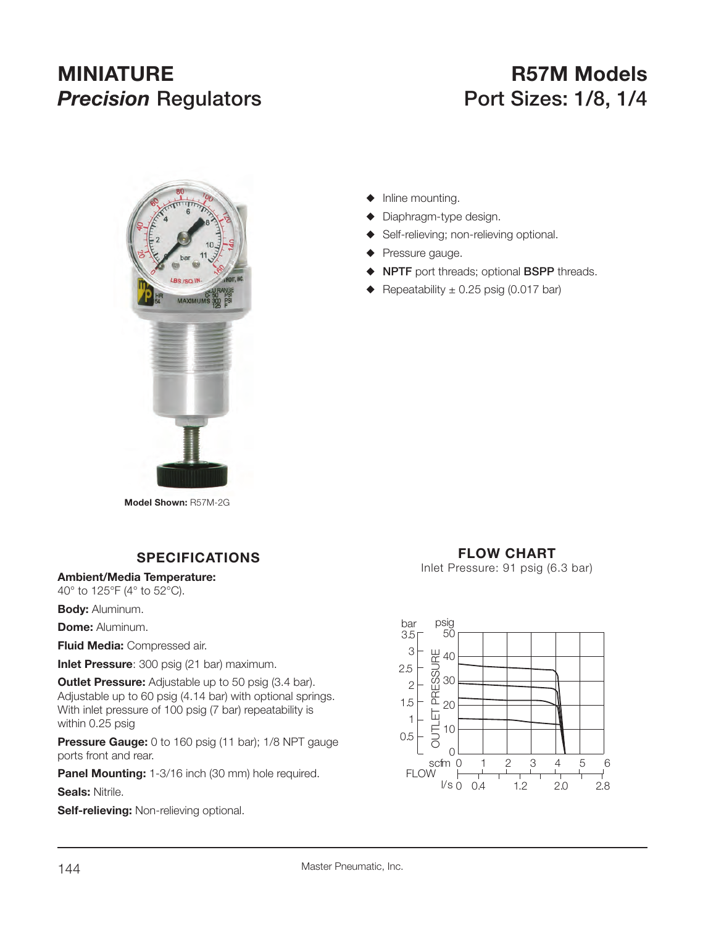# **MINIATURE R57M Models Precision Regulators Port Sizes: 1/8, 1/4**



 $\blacklozenge$  Inline mounting.

- $\blacklozenge$  Diaphragm-type design.
- ◆ Self-relieving; non-relieving optional.
- $\blacklozenge$  Pressure gauge.
- S **NPTF** port threads; optional **BSPP** threads.
- $\triangle$  Repeatability  $\pm$  0.25 psig (0.017 bar)

**Model Shown:** R57M-2G

## **SPECIFICATIONS**

**Ambient/Media Temperature:**

40° to 125°F (4° to 52°C).

**Body:** Aluminum.

**Dome: Aluminum.** 

**Fluid Media:** Compressed air.

**Inlet Pressure**: 300 psig (21 bar) maximum.

**Outlet Pressure:** Adjustable up to 50 psig (3.4 bar). Adjustable up to 60 psig (4.14 bar) with optional springs. With inlet pressure of 100 psig (7 bar) repeatability is within 0.25 psig

**Pressure Gauge:** 0 to 160 psig (11 bar); 1/8 NPT gauge ports front and rear.

**Panel Mounting:** 1-3/16 inch (30 mm) hole required.

**Seals:** Nitrile.

**Self-relieving:** Non-relieving optional.

## **FLOW CHART**

Inlet Pressure: 91 psig (6.3 bar)